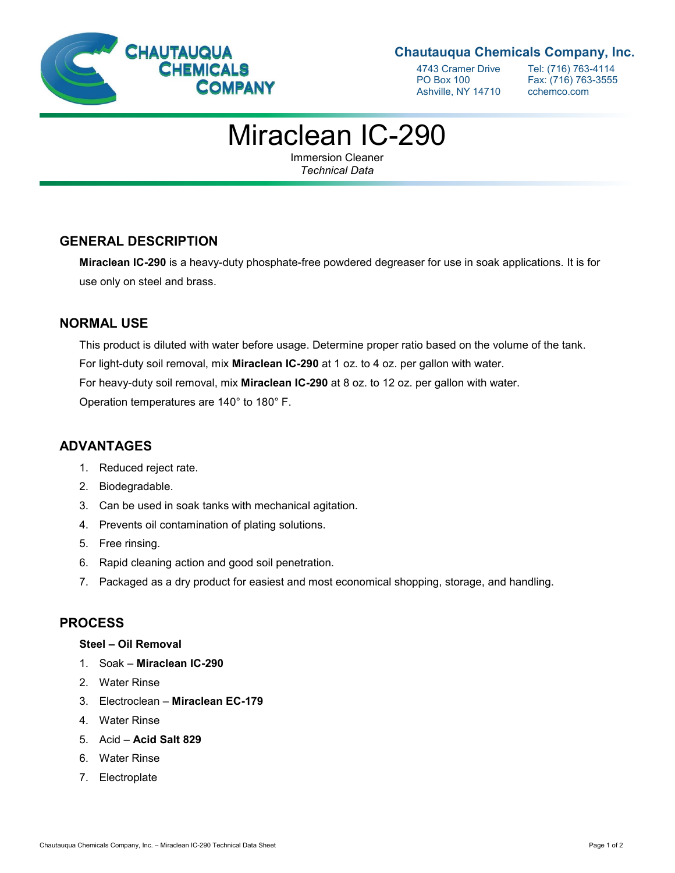

#### **Chautauqua Chemicals Company, Inc.**

Ashville, NY 14710 cchemco.com

4743 Cramer Drive Tel: (716) 763-4114<br>PO Box 100 Fax: (716) 763-3555 Fax: (716) 763-3555

# Miraclean IC-290

Immersion Cleaner *Technical Data*

#### **GENERAL DESCRIPTION**

**Miraclean IC-290** is a heavy-duty phosphate-free powdered degreaser for use in soak applications. It is for use only on steel and brass.

#### **NORMAL USE**

This product is diluted with water before usage. Determine proper ratio based on the volume of the tank. For light-duty soil removal, mix **Miraclean IC-290** at 1 oz. to 4 oz. per gallon with water. For heavy-duty soil removal, mix **Miraclean IC-290** at 8 oz. to 12 oz. per gallon with water. Operation temperatures are 140° to 180° F.

## **ADVANTAGES**

- 1. Reduced reject rate.
- 2. Biodegradable.
- 3. Can be used in soak tanks with mechanical agitation.
- 4. Prevents oil contamination of plating solutions.
- 5. Free rinsing.
- 6. Rapid cleaning action and good soil penetration.
- 7. Packaged as a dry product for easiest and most economical shopping, storage, and handling.

#### **PROCESS**

#### **Steel – Oil Removal**

- 1. Soak **Miraclean IC-290**
- 2. Water Rinse
- 3. Electroclean **Miraclean EC-179**
- 4. Water Rinse
- 5. Acid **Acid Salt 829**
- 6. Water Rinse
- 7. Electroplate